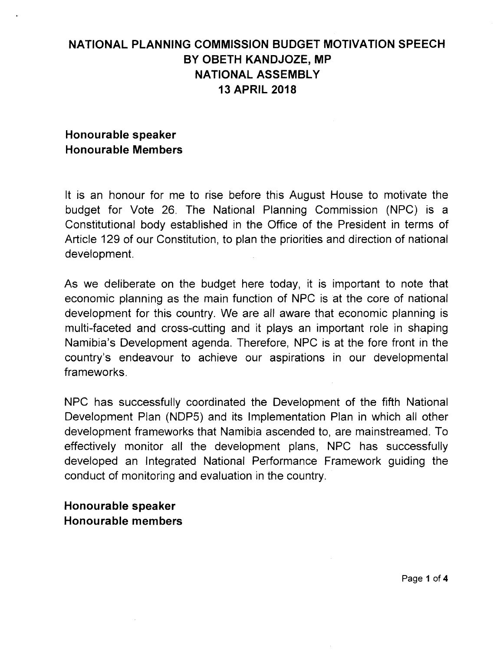# **NATIONAL PLANNING COMMISSION BUDGET MOTIVATION SPEECH BY OBETH KANDJOZE, MP NATIONAL ASSEMBLY 13 APRIL 2018**

### **Honourable speaker Honourable Members**

It is an honour for me to rise before this August House to motivate the budget for Vote 26. The National Planning Commission (NPC) is a Constitutional body established in the Office of the President in terms of Article 129 of our Constitution, to plan the priorities and direction of national development.

As we deliberate on the budget here today, it is important to note that economic planninq as the main function of NPC is at the core of national development for this country. We are all aware that economic planning is multi-faceted and cross-cutting and it plays an important role in shaping Namibia's Development agenda. Therefore, NPC is at the fore front in the country's endeavour to achieve our aspirations in our developmental frameworks.

NPC has successfully coordinated the Development of the fifth National Development Plan (NDP5) and its Implementation Plan in which all other development frameworks that Namibia ascended to, are mainstreamed. To effectively monitor all the development plans, NPC has successfully developed an Integrated National Performance Framework guiding the conduct of monitoring and evaluation in the country.

#### **Honourable speaker Honourable members**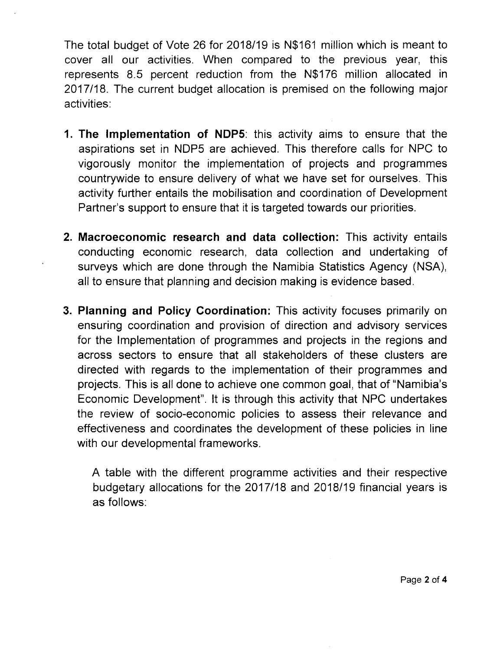The total budget of Vote 26 for *2018/19* is N\$161 million which is meant to cover all our activities. When compared to the previous year, this represents 8.5 percent reduction from the N\$176 million allocated in *2017/18.* The current budget allocation is premised on the following major activities:

- 1. **The Implementation of** NDP5: this activity aims to ensure that the aspirations set in NDP5 are achieved. This therefore calls for NPC to vigorously monitor the implementation of projects and programmes countrywide to ensure delivery of what we have set for ourselves. This activity further entails the mobilisation and coordination of Development Partner's support to ensure that it is targeted towards our priorities.
- 2. **Macroeconomic research and data collection:** This activity entails conducting economic research, data collection and undertaking of surveys which are done through the Namibia Statistics Agency (NSA), all to ensure that planning and decision making is evidence based.
- 3. **Planning and Policy Coordination:** This activity focuses primarily on ensuring coordination and provision of direction and advisory services for the Implementation of programmes and projects in the regions and across sectors to ensure that all stakeholders of these clusters are directed with regards to the implementation of their programmes and projects. This is all done to achieve one common goal, that of "Namibia's Economic Development". It is through this activity that NPC undertakes the review of socio-economic policies to assess their relevance and effectiveness and coordinates the development of these policies in line with our developmental frameworks.

A table with the different programme activities and their respective budgetary allocations for the *2017/18* and *2018/19* financial years is as follows: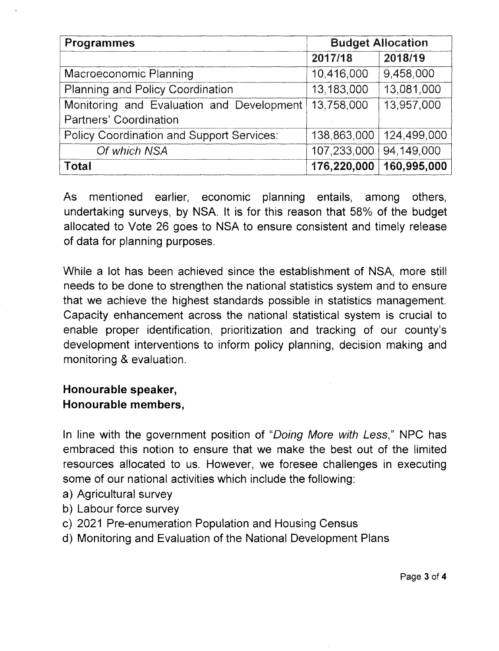| Programmes                                       | <b>Budget Allocation</b> |             |
|--------------------------------------------------|--------------------------|-------------|
|                                                  | 2017/18                  | 2018/19     |
| Macroeconomic Planning                           | 10,416,000               | 9,458,000   |
| Planning and Policy Coordination                 | 13,183,000               | 13,081,000  |
| Monitoring and Evaluation and Development        | 13,758,000               | 13,957,000  |
| Partners' Coordination                           |                          |             |
| <b>Policy Coordination and Support Services:</b> | 138,863,000              | 124,499,000 |
| Of which NSA                                     | 107,233,000              | 94,149,000  |
| Total                                            | 176,220,000              | 160,995,000 |

As mentioned earlier, economic planning entails, among others, undertaking surveys, by NSA. It is for this reason that 58% of the budget allocated to Vote 26 goes to NSA to ensure consistent and timely release of data for planning purposes.

While a lot has been achieved since the establishment of NSA, more still needs to be done to strengthen the national statistics system and to ensure that we achieve the highest standards possible in statistics management. Capacity enhancement across the national statistical system is crucial to enable proper identification, prioritization and tracking of our county's development interventions to inform policy planning, decision making and monitoring & evaluation.

## **Honourable** speaker, **Honourable** members,

In line with the government position of *"Doing More with* Less," NPC has embraced this notion to ensure that we make the best out of the limited resources allocated to us. However, we foresee challenges in executing some of our national activities which include the following:

- a) Agricultural survey
- b) Labour force survey
- c) 2021 Pre-enumeration Population and Housing Census
- d) Monitoring and Evaluation of the National Development Plans